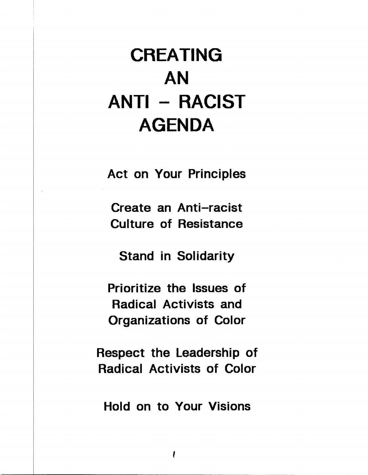# CREATING AN **ANTI - RACIST** AGENDA

Act on Your Principles

Create an Anti-racist **Culture of Resistance** 

Stand in Solidarity

Prioritize the Issues of Radical Activists and Organizations of Color

Respect the Leadership of **Radical Activists of Color** 

Hold on to Your Visions

 $\mathbf{I}$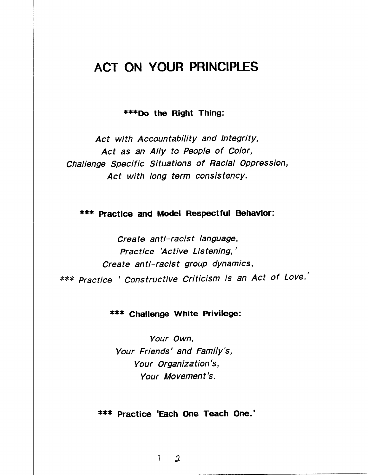#### ACT ON YOUR PRINCIPLES

\*\*\*Do the Right Thing:

Act with Accountability and Integrity, Act as an Ally to People of Color, Challenge Specific Situations of Racial Oppression, Act with long term consistency.

\*\*\* Practice and Model Respectful Behavior:

Create anti-racist language, Practice 'Active Listening,' Create anti-racist group dynamics, \*\*\* Practice ' Constructive Criticism is an Act of Love.'

#### **\*\*\* Challenge White Privilege:**

Your Own. Your Friends' and Family's, Your Organization's, Your Movement's.

\*\*\* Practice 'Each One Teach One.'

 $\mathfrak{D}$ Ĩ.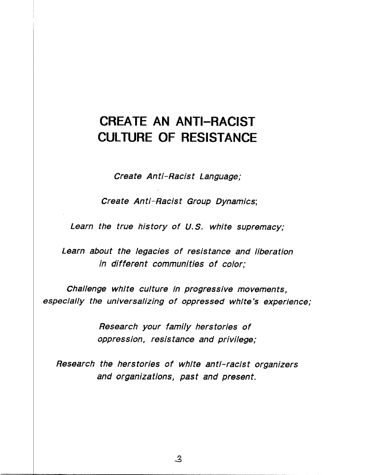# **CREATE AN ANTI-RACIST** CULTURE OF RESISTANCE

Create Anti-Racist Language;

Create Anti-Racist Group Dynamics;

Learn the true history of U.S. white supremacy;

Learn about the legacies of resistance and liberation in different communities of color:

Challenge white culture in progressive movements, especially the universalizing of oppressed white's experience;

> Research your family herstories of oppression, resistance and privilege;

Research the herstories of white anti-racist organizers and organizations, past and present.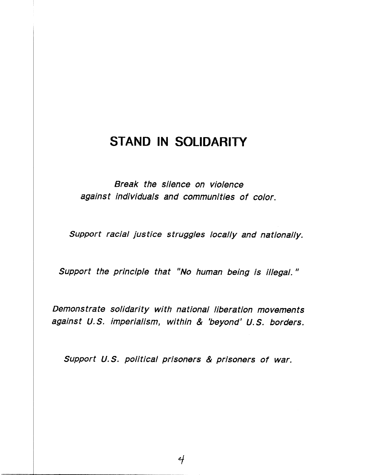#### STAND IN SOLIDARITY

Break the silence on violence against individuals and communities of color.

Support racial justice struggles locally and nationally.

Support the principle that "No human being is illegal."

Demonstrate solidarity with national liberation movements against U.S. imperialism, within & 'beyond' U.S. borders.

Support U.S. political prisoners & prisoners of war.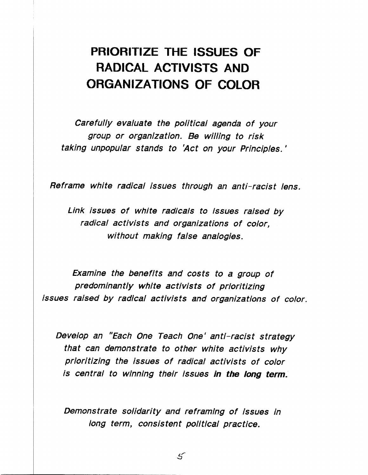# PRIORITIZE THE ISSUES OF RADICAL ACTIVISTS AND ORGANIZATIONS OF COLOR

Carefully evaluate the political agenda of your group or organization. Be willing to risk taking unpopular stands to 'Act on your Principles.'

Reframe white radical issues through an anti-racist lens.

Link issues of white radicals to issues raised by radical activists and organizations of color, without making false analogies.

Examine the benefits and costs to a group of predominantly white activists of prioritizing issues raised by radical activists and organizations of color.

Develop an "Each One Teach One' anti-racist strategy that can demonstrate to other white activists why prioritizing the issues of radical activists of color is central to winning their issues in the long term.

Demonstrate solidarity and reframing of issues in long term, consistent political practice.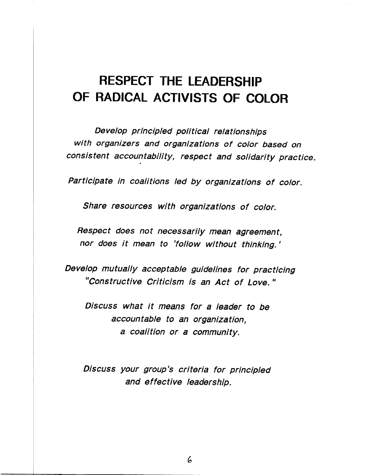# RESPECT THE LEADERSHIP OF RADICAL ACTIVISTS OF COLOR

Develop principled political relationships with organizers and organizations of color based on consistent accountability, respect and solidarity practice.

Participate in coalitions led by organizations of color.

Share resources with organizations of color.

Respect does not necessarily mean agreement. nor does it mean to 'follow without thinking.'

Develop mutually acceptable guidelines for practicing "Constructive Criticism is an Act of Love."

Discuss what it means for a leader to be accountable to an organization. a coalition or a community.

Discuss your group's criteria for principled and effective leadership.